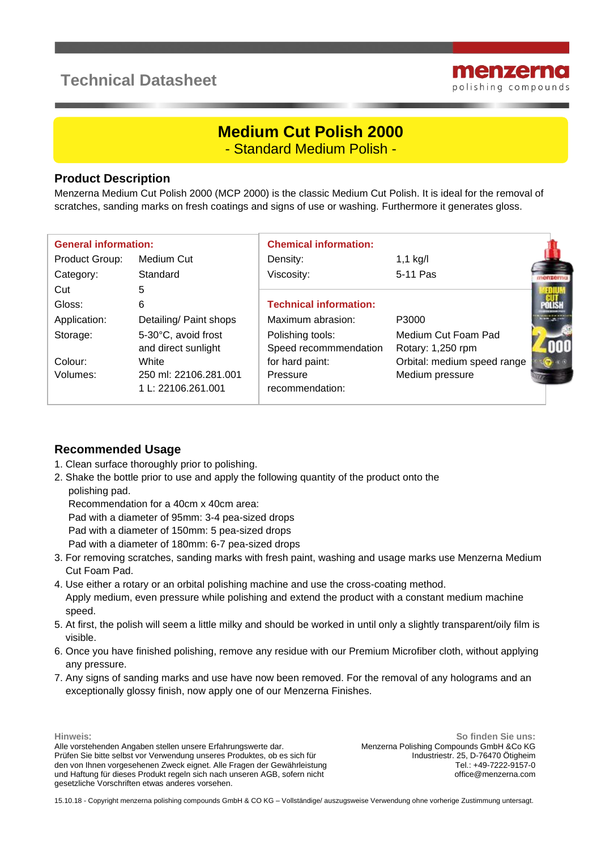## **Technical Datasheet**



# **Medium Cut Polish 2000**

- Standard Medium Polish -

#### **Product Description**

Menzerna Medium Cut Polish 2000 (MCP 2000) is the classic Medium Cut Polish. It is ideal for the removal of scratches, sanding marks on fresh coatings and signs of use or washing. Furthermore it generates gloss.

| <b>General information:</b> |                                             | <b>Chemical information:</b>              |                                          |  |
|-----------------------------|---------------------------------------------|-------------------------------------------|------------------------------------------|--|
| Product Group:              | Medium Cut                                  | Density:                                  | $1,1$ kg/l                               |  |
| Category:                   | Standard                                    | Viscosity:                                | 5-11 Pas                                 |  |
| Cut                         | 5                                           |                                           |                                          |  |
| Gloss:                      | 6                                           | <b>Technical information:</b>             |                                          |  |
| Application:                | Detailing/ Paint shops                      | Maximum abrasion:                         | P3000                                    |  |
| Storage:                    | 5-30°C, avoid frost<br>and direct sunlight  | Polishing tools:<br>Speed recommmendation | Medium Cut Foam Pad<br>Rotary: 1,250 rpm |  |
| Colour:                     | White                                       | for hard paint:                           | Orbital: medium speed range              |  |
| Volumes:                    | 250 ml: 22106.281.001<br>1 L: 22106.261.001 | Pressure<br>recommendation:               | Medium pressure                          |  |

#### **Recommended Usage**

- 1. Clean surface thoroughly prior to polishing.
- 2. Shake the bottle prior to use and apply the following quantity of the product onto the polishing pad.
	- Recommendation for a 40cm x 40cm area:

Pad with a diameter of 95mm: 3-4 pea-sized drops

- Pad with a diameter of 150mm: 5 pea-sized drops
- Pad with a diameter of 180mm: 6-7 pea-sized drops
- 3. For removing scratches, sanding marks with fresh paint, washing and usage marks use Menzerna Medium Cut Foam Pad.
- 4. Use either a rotary or an orbital polishing machine and use the cross-coating method. Apply medium, even pressure while polishing and extend the product with a constant medium machine speed.
- 5. At first, the polish will seem a little milky and should be worked in until only a slightly transparent/oily film is visible.
- 6. Once you have finished polishing, remove any residue with our Premium Microfiber cloth, without applying any pressure.
- 7. Any signs of sanding marks and use have now been removed. For the removal of any holograms and an exceptionally glossy finish, now apply one of our Menzerna Finishes.

**Hinweis**:

Alle vorstehenden Angaben stellen unsere Erfahrungswerte dar. Prüfen Sie bitte selbst vor Verwendung unseres Produktes, ob es sich für den von Ihnen vorgesehenen Zweck eignet. Alle Fragen der Gewährleistung und Haftung für dieses Produkt regeln sich nach unseren AGB, sofern nicht gesetzliche Vorschriften etwas anderes vorsehen.

**So finden Sie uns:** Menzerna Polishing Compounds GmbH &Co KG Industriestr. 25, D-76470 Ötigheim Tel.: +49-7222-9157-0 office@menzerna.com

15.10.18 - Copyright menzerna polishing compounds GmbH & CO KG – Vollständige/ auszugsweise Verwendung ohne vorherige Zustimmung untersagt.